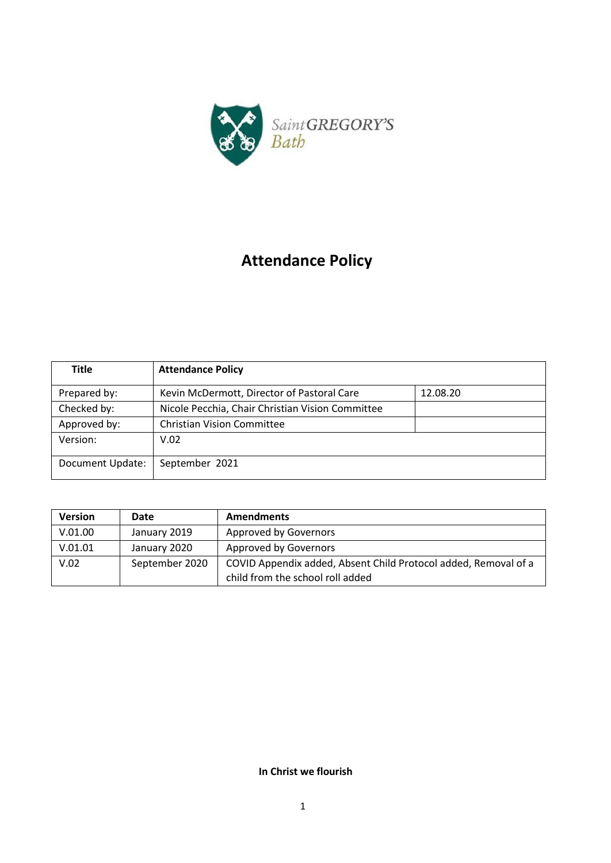

# **Attendance Policy**

| Title            | <b>Attendance Policy</b>                         |          |
|------------------|--------------------------------------------------|----------|
| Prepared by:     | Kevin McDermott, Director of Pastoral Care       | 12.08.20 |
| Checked by:      | Nicole Pecchia, Chair Christian Vision Committee |          |
| Approved by:     | <b>Christian Vision Committee</b>                |          |
| Version:         | V.02                                             |          |
| Document Update: | September 2021                                   |          |

| <b>Version</b> | Date           | <b>Amendments</b>                                               |
|----------------|----------------|-----------------------------------------------------------------|
| V.01.00        | January 2019   | Approved by Governors                                           |
| V.01.01        | January 2020   | Approved by Governors                                           |
| V.02           | September 2020 | COVID Appendix added, Absent Child Protocol added, Removal of a |
|                |                | child from the school roll added                                |

# **In Christ we flourish**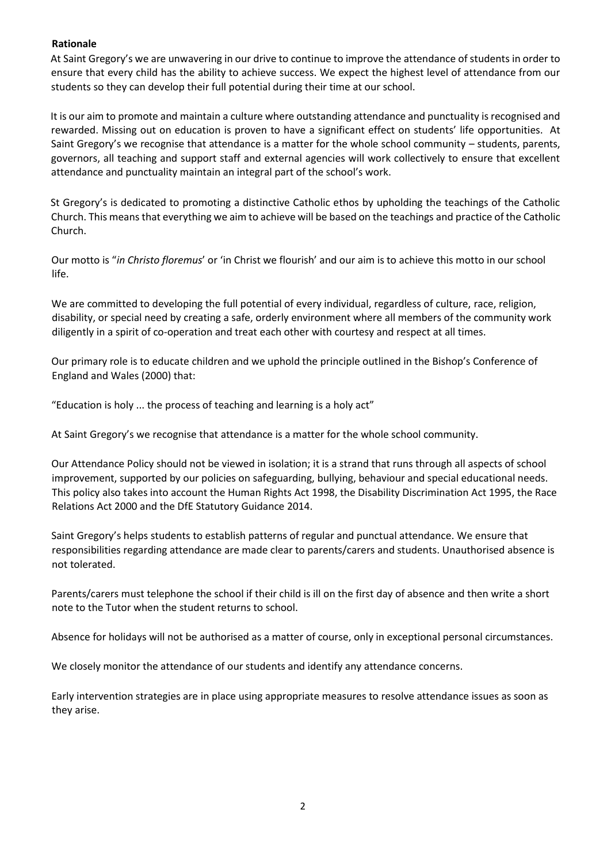# **Rationale**

At Saint Gregory's we are unwavering in our drive to continue to improve the attendance of students in order to ensure that every child has the ability to achieve success. We expect the highest level of attendance from our students so they can develop their full potential during their time at our school.

It is our aim to promote and maintain a culture where outstanding attendance and punctuality is recognised and rewarded. Missing out on education is proven to have a significant effect on students' life opportunities. At Saint Gregory's we recognise that attendance is a matter for the whole school community – students, parents, governors, all teaching and support staff and external agencies will work collectively to ensure that excellent attendance and punctuality maintain an integral part of the school's work.

St Gregory's is dedicated to promoting a distinctive Catholic ethos by upholding the teachings of the Catholic Church. This means that everything we aim to achieve will be based on the teachings and practice of the Catholic Church.

Our motto is "*in Christo floremus*' or 'in Christ we flourish' and our aim is to achieve this motto in our school life.

We are committed to developing the full potential of every individual, regardless of culture, race, religion, disability, or special need by creating a safe, orderly environment where all members of the community work diligently in a spirit of co-operation and treat each other with courtesy and respect at all times.

Our primary role is to educate children and we uphold the principle outlined in the Bishop's Conference of England and Wales (2000) that:

"Education is holy ... the process of teaching and learning is a holy act"

At Saint Gregory's we recognise that attendance is a matter for the whole school community.

Our Attendance Policy should not be viewed in isolation; it is a strand that runs through all aspects of school improvement, supported by our policies on safeguarding, bullying, behaviour and special educational needs. This policy also takes into account the Human Rights Act 1998, the Disability Discrimination Act 1995, the Race Relations Act 2000 and the DfE Statutory Guidance 2014.

Saint Gregory's helps students to establish patterns of regular and punctual attendance. We ensure that responsibilities regarding attendance are made clear to parents/carers and students. Unauthorised absence is not tolerated.

Parents/carers must telephone the school if their child is ill on the first day of absence and then write a short note to the Tutor when the student returns to school.

Absence for holidays will not be authorised as a matter of course, only in exceptional personal circumstances.

We closely monitor the attendance of our students and identify any attendance concerns.

Early intervention strategies are in place using appropriate measures to resolve attendance issues as soon as they arise.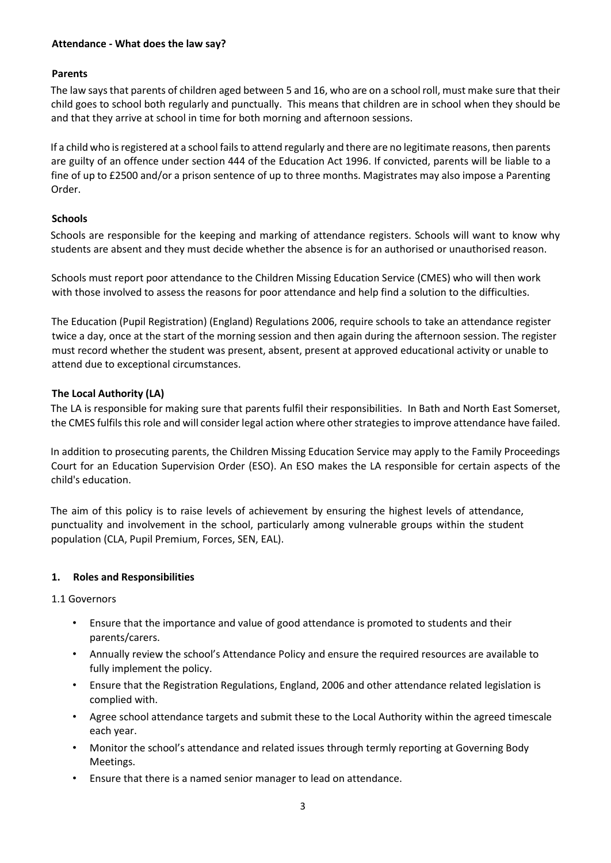# **Attendance ‐ What does the law say?**

#### **Parents**

The law says that parents of children aged between 5 and 16, who are on a school roll, must make sure that their child goes to school both regularly and punctually. This means that children are in school when they should be and that they arrive at school in time for both morning and afternoon sessions.

If a child who is registered at a school fails to attend regularly and there are no legitimate reasons, then parents are guilty of an offence under section 444 of the Education Act 1996. If convicted, parents will be liable to a fine of up to £2500 and/or a prison sentence of up to three months. Magistrates may also impose a Parenting Order.

#### **Schools**

Schools are responsible for the keeping and marking of attendance registers. Schools will want to know why students are absent and they must decide whether the absence is for an authorised or unauthorised reason.

Schools must report poor attendance to the Children Missing Education Service (CMES) who will then work with those involved to assess the reasons for poor attendance and help find a solution to the difficulties.

The Education (Pupil Registration) (England) Regulations 2006, require schools to take an attendance register twice a day, once at the start of the morning session and then again during the afternoon session. The register must record whether the student was present, absent, present at approved educational activity or unable to attend due to exceptional circumstances.

# **The Local Authority (LA)**

The LA is responsible for making sure that parents fulfil their responsibilities. In Bath and North East Somerset, the CMES fulfils this role and will consider legal action where other strategies to improve attendance have failed.

In addition to prosecuting parents, the Children Missing Education Service may apply to the Family Proceedings Court for an Education Supervision Order (ESO). An ESO makes the LA responsible for certain aspects of the child's education.

The aim of this policy is to raise levels of achievement by ensuring the highest levels of attendance, punctuality and involvement in the school, particularly among vulnerable groups within the student population (CLA, Pupil Premium, Forces, SEN, EAL).

#### **1. Roles and Responsibilities**

1.1 Governors

- Ensure that the importance and value of good attendance is promoted to students and their parents/carers.
- Annually review the school's Attendance Policy and ensure the required resources are available to fully implement the policy.
- Ensure that the Registration Regulations, England, 2006 and other attendance related legislation is complied with.
- Agree school attendance targets and submit these to the Local Authority within the agreed timescale each year.
- Monitor the school's attendance and related issues through termly reporting at Governing Body Meetings.
- Ensure that there is a named senior manager to lead on attendance.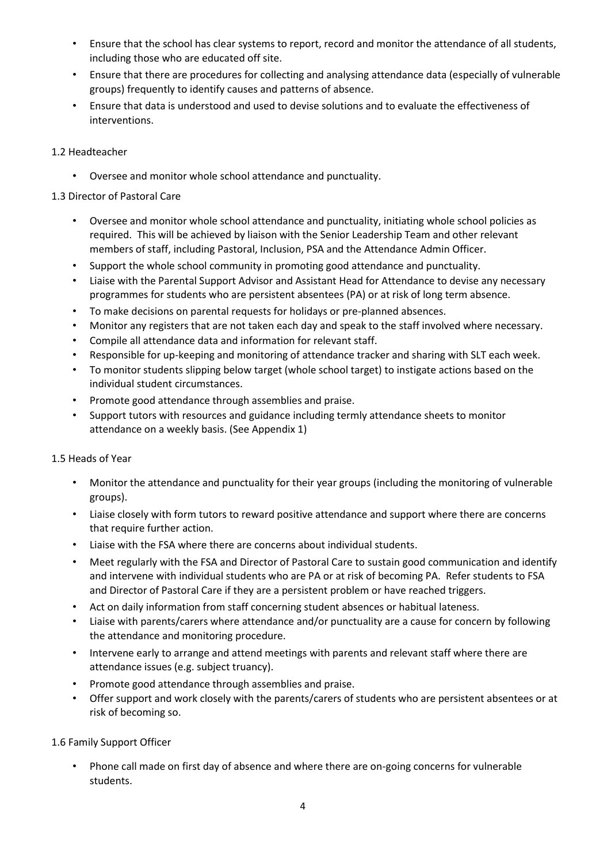- Ensure that the school has clear systems to report, record and monitor the attendance of all students, including those who are educated off site.
- Ensure that there are procedures for collecting and analysing attendance data (especially of vulnerable groups) frequently to identify causes and patterns of absence.
- Ensure that data is understood and used to devise solutions and to evaluate the effectiveness of interventions.

# 1.2 Headteacher

• Oversee and monitor whole school attendance and punctuality.

# 1.3 Director of Pastoral Care

- Oversee and monitor whole school attendance and punctuality, initiating whole school policies as required. This will be achieved by liaison with the Senior Leadership Team and other relevant members of staff, including Pastoral, Inclusion, PSA and the Attendance Admin Officer.
- Support the whole school community in promoting good attendance and punctuality.
- Liaise with the Parental Support Advisor and Assistant Head for Attendance to devise any necessary programmes for students who are persistent absentees (PA) or at risk of long term absence.
- To make decisions on parental requests for holidays or pre-planned absences.
- Monitor any registers that are not taken each day and speak to the staff involved where necessary.
- Compile all attendance data and information for relevant staff.
- Responsible for up-keeping and monitoring of attendance tracker and sharing with SLT each week.
- To monitor students slipping below target (whole school target) to instigate actions based on the individual student circumstances.
- Promote good attendance through assemblies and praise.
- Support tutors with resources and guidance including termly attendance sheets to monitor attendance on a weekly basis. (See Appendix 1)

# 1.5 Heads of Year

- Monitor the attendance and punctuality for their year groups (including the monitoring of vulnerable groups).
- Liaise closely with form tutors to reward positive attendance and support where there are concerns that require further action.
- Liaise with the FSA where there are concerns about individual students.
- Meet regularly with the FSA and Director of Pastoral Care to sustain good communication and identify and intervene with individual students who are PA or at risk of becoming PA. Refer students to FSA and Director of Pastoral Care if they are a persistent problem or have reached triggers.
- Act on daily information from staff concerning student absences or habitual lateness.
- Liaise with parents/carers where attendance and/or punctuality are a cause for concern by following the attendance and monitoring procedure.
- Intervene early to arrange and attend meetings with parents and relevant staff where there are attendance issues (e.g. subject truancy).
- Promote good attendance through assemblies and praise.
- Offer support and work closely with the parents/carers of students who are persistent absentees or at risk of becoming so.

# 1.6 Family Support Officer

• Phone call made on first day of absence and where there are on-going concerns for vulnerable students.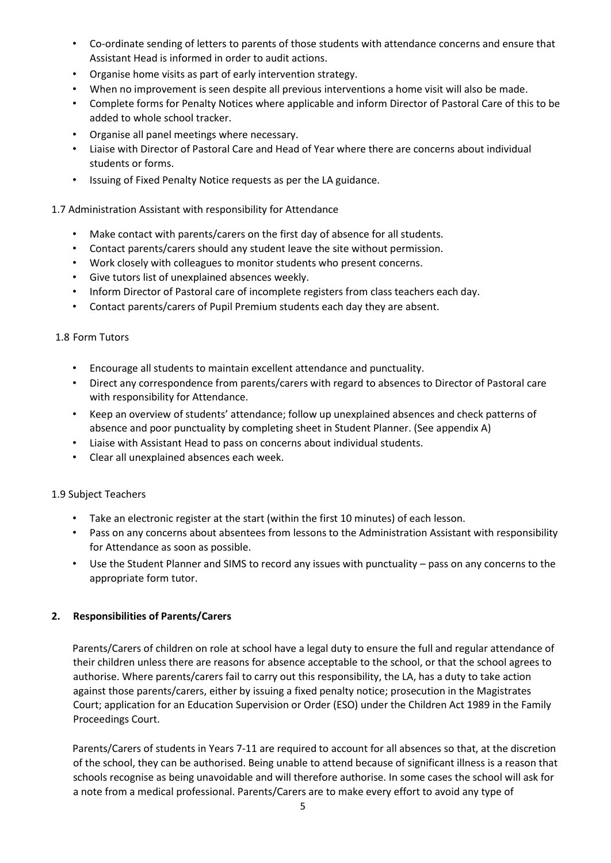- Co-ordinate sending of letters to parents of those students with attendance concerns and ensure that Assistant Head is informed in order to audit actions.
- Organise home visits as part of early intervention strategy.
- When no improvement is seen despite all previous interventions a home visit will also be made.
- Complete forms for Penalty Notices where applicable and inform Director of Pastoral Care of this to be added to whole school tracker.
- Organise all panel meetings where necessary.
- Liaise with Director of Pastoral Care and Head of Year where there are concerns about individual students or forms.
- Issuing of Fixed Penalty Notice requests as per the LA guidance.

# 1.7 Administration Assistant with responsibility for Attendance

- Make contact with parents/carers on the first day of absence for all students.
- Contact parents/carers should any student leave the site without permission.
- Work closely with colleagues to monitor students who present concerns.
- Give tutors list of unexplained absences weekly.
- Inform Director of Pastoral care of incomplete registers from class teachers each day.
- Contact parents/carers of Pupil Premium students each day they are absent.

# 1.8 Form Tutors

- Encourage all students to maintain excellent attendance and punctuality.
- Direct any correspondence from parents/carers with regard to absences to Director of Pastoral care with responsibility for Attendance.
- Keep an overview of students' attendance; follow up unexplained absences and check patterns of absence and poor punctuality by completing sheet in Student Planner. (See appendix A)
- Liaise with Assistant Head to pass on concerns about individual students.
- Clear all unexplained absences each week.

# 1.9 Subject Teachers

- Take an electronic register at the start (within the first 10 minutes) of each lesson.
- Pass on any concerns about absentees from lessons to the Administration Assistant with responsibility for Attendance as soon as possible.
- Use the Student Planner and SIMS to record any issues with punctuality pass on any concerns to the appropriate form tutor.

# **2. Responsibilities of Parents/Carers**

Parents/Carers of children on role at school have a legal duty to ensure the full and regular attendance of their children unless there are reasons for absence acceptable to the school, or that the school agrees to authorise. Where parents/carers fail to carry out this responsibility, the LA, has a duty to take action against those parents/carers, either by issuing a fixed penalty notice; prosecution in the Magistrates Court; application for an Education Supervision or Order (ESO) under the Children Act 1989 in the Family Proceedings Court.

Parents/Carers of students in Years 7-11 are required to account for all absences so that, at the discretion of the school, they can be authorised. Being unable to attend because of significant illness is a reason that schools recognise as being unavoidable and will therefore authorise. In some cases the school will ask for a note from a medical professional. Parents/Carers are to make every effort to avoid any type of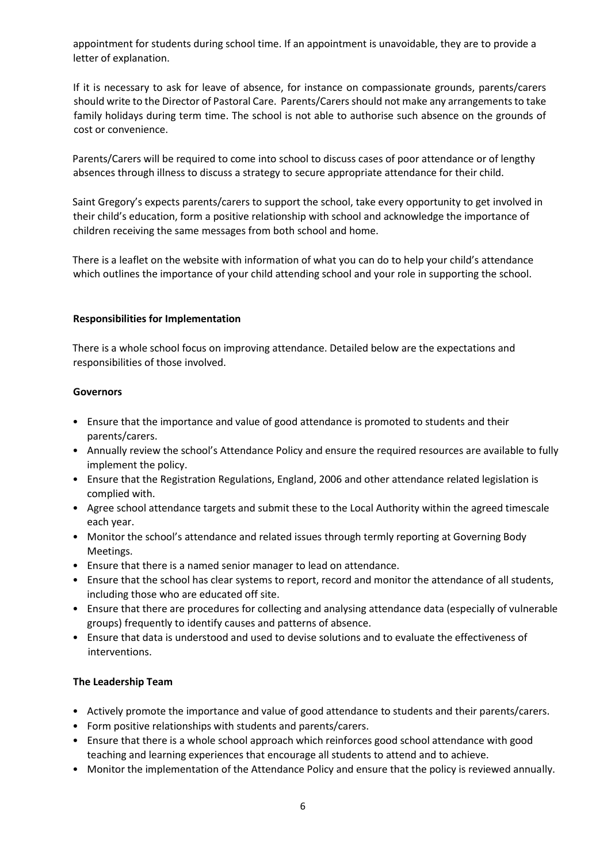appointment for students during school time. If an appointment is unavoidable, they are to provide a letter of explanation.

If it is necessary to ask for leave of absence, for instance on compassionate grounds, parents/carers should write to the Director of Pastoral Care. Parents/Carers should not make any arrangements to take family holidays during term time. The school is not able to authorise such absence on the grounds of cost or convenience.

Parents/Carers will be required to come into school to discuss cases of poor attendance or of lengthy absences through illness to discuss a strategy to secure appropriate attendance for their child.

Saint Gregory's expects parents/carers to support the school, take every opportunity to get involved in their child's education, form a positive relationship with school and acknowledge the importance of children receiving the same messages from both school and home.

There is a leaflet on the website with information of what you can do to help your child's attendance which outlines the importance of your child attending school and your role in supporting the school.

#### **Responsibilities for Implementation**

There is a whole school focus on improving attendance. Detailed below are the expectations and responsibilities of those involved.

#### **Governors**

- Ensure that the importance and value of good attendance is promoted to students and their parents/carers.
- Annually review the school's Attendance Policy and ensure the required resources are available to fully implement the policy.
- Ensure that the Registration Regulations, England, 2006 and other attendance related legislation is complied with.
- Agree school attendance targets and submit these to the Local Authority within the agreed timescale each year.
- Monitor the school's attendance and related issues through termly reporting at Governing Body Meetings.
- Ensure that there is a named senior manager to lead on attendance.
- Ensure that the school has clear systems to report, record and monitor the attendance of all students, including those who are educated off site.
- Ensure that there are procedures for collecting and analysing attendance data (especially of vulnerable groups) frequently to identify causes and patterns of absence.
- Ensure that data is understood and used to devise solutions and to evaluate the effectiveness of interventions.

#### **The Leadership Team**

- Actively promote the importance and value of good attendance to students and their parents/carers.
- Form positive relationships with students and parents/carers.
- Ensure that there is a whole school approach which reinforces good school attendance with good teaching and learning experiences that encourage all students to attend and to achieve.
- Monitor the implementation of the Attendance Policy and ensure that the policy is reviewed annually.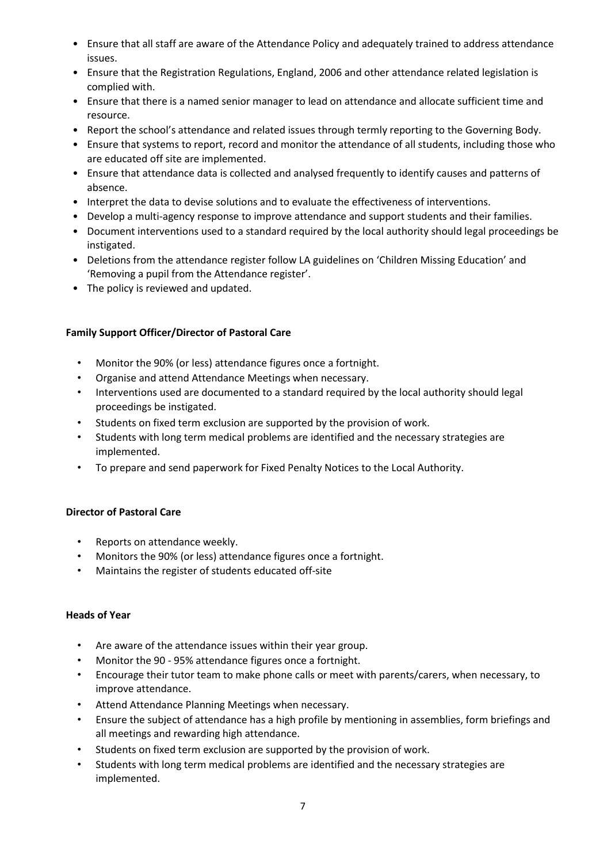- Ensure that all staff are aware of the Attendance Policy and adequately trained to address attendance issues.
- Ensure that the Registration Regulations, England, 2006 and other attendance related legislation is complied with.
- Ensure that there is a named senior manager to lead on attendance and allocate sufficient time and resource.
- Report the school's attendance and related issues through termly reporting to the Governing Body.
- Ensure that systems to report, record and monitor the attendance of all students, including those who are educated off site are implemented.
- Ensure that attendance data is collected and analysed frequently to identify causes and patterns of absence.
- Interpret the data to devise solutions and to evaluate the effectiveness of interventions.
- Develop a multi-agency response to improve attendance and support students and their families.
- Document interventions used to a standard required by the local authority should legal proceedings be instigated.
- Deletions from the attendance register follow LA guidelines on 'Children Missing Education' and 'Removing a pupil from the Attendance register'.
- The policy is reviewed and updated.

# **Family Support Officer/Director of Pastoral Care**

- Monitor the 90% (or less) attendance figures once a fortnight.
- Organise and attend Attendance Meetings when necessary.
- Interventions used are documented to a standard required by the local authority should legal proceedings be instigated.
- Students on fixed term exclusion are supported by the provision of work.
- Students with long term medical problems are identified and the necessary strategies are implemented.
- To prepare and send paperwork for Fixed Penalty Notices to the Local Authority.

#### **Director of Pastoral Care**

- Reports on attendance weekly.
- Monitors the 90% (or less) attendance figures once a fortnight.
- Maintains the register of students educated off‐site

#### **Heads of Year**

- Are aware of the attendance issues within their year group.
- Monitor the 90 ‐ 95% attendance figures once a fortnight.
- Encourage their tutor team to make phone calls or meet with parents/carers, when necessary, to improve attendance.
- Attend Attendance Planning Meetings when necessary.
- Ensure the subject of attendance has a high profile by mentioning in assemblies, form briefings and all meetings and rewarding high attendance.
- Students on fixed term exclusion are supported by the provision of work.
- Students with long term medical problems are identified and the necessary strategies are implemented.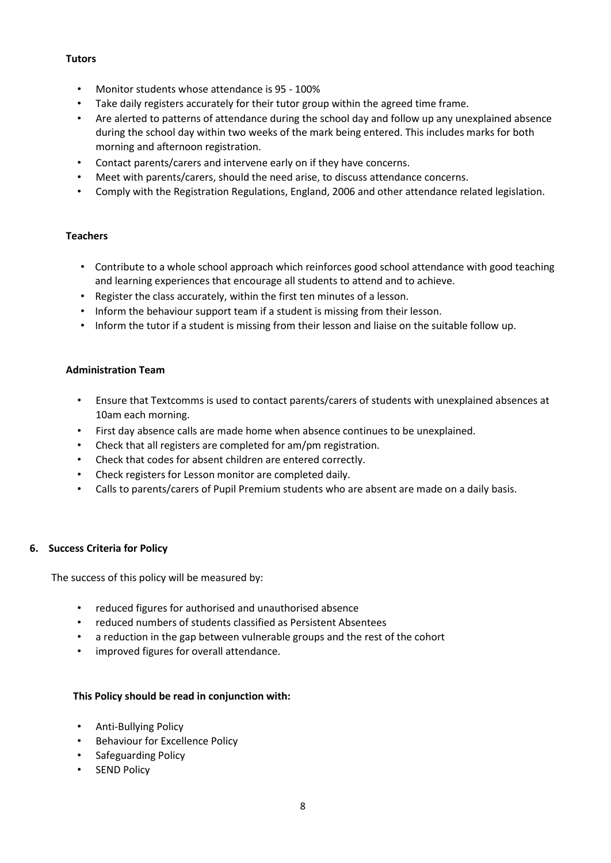# **Tutors**

- Monitor students whose attendance is 95 100%
- Take daily registers accurately for their tutor group within the agreed time frame.
- Are alerted to patterns of attendance during the school day and follow up any unexplained absence during the school day within two weeks of the mark being entered. This includes marks for both morning and afternoon registration.
- Contact parents/carers and intervene early on if they have concerns.
- Meet with parents/carers, should the need arise, to discuss attendance concerns.
- Comply with the Registration Regulations, England, 2006 and other attendance related legislation.

# **Teachers**

- Contribute to a whole school approach which reinforces good school attendance with good teaching and learning experiences that encourage all students to attend and to achieve.
- Register the class accurately, within the first ten minutes of a lesson.
- Inform the behaviour support team if a student is missing from their lesson.
- Inform the tutor if a student is missing from their lesson and liaise on the suitable follow up.

# **Administration Team**

- Ensure that Textcomms is used to contact parents/carers of students with unexplained absences at 10am each morning.
- First day absence calls are made home when absence continues to be unexplained.
- Check that all registers are completed for am/pm registration.
- Check that codes for absent children are entered correctly.
- Check registers for Lesson monitor are completed daily.
- Calls to parents/carers of Pupil Premium students who are absent are made on a daily basis.

# **6. Success Criteria for Policy**

The success of this policy will be measured by:

- reduced figures for authorised and unauthorised absence
- reduced numbers of students classified as Persistent Absentees
- a reduction in the gap between vulnerable groups and the rest of the cohort
- improved figures for overall attendance.

# **This Policy should be read in conjunction with:**

- Anti-Bullying Policy
- Behaviour for Excellence Policy
- Safeguarding Policy
- **SEND Policy**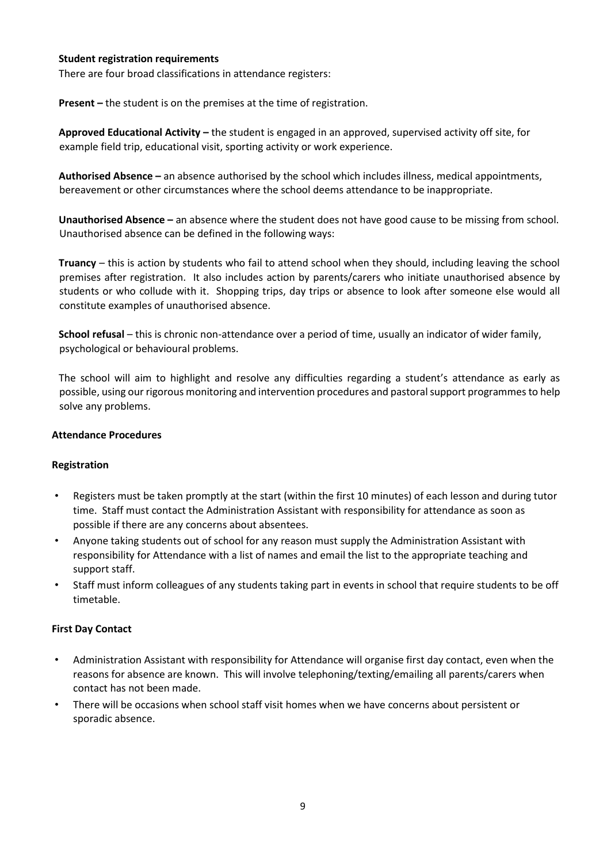#### **Student registration requirements**

There are four broad classifications in attendance registers:

**Present –** the student is on the premises at the time of registration.

**Approved Educational Activity –** the student is engaged in an approved, supervised activity off site, for example field trip, educational visit, sporting activity or work experience.

**Authorised Absence –** an absence authorised by the school which includes illness, medical appointments, bereavement or other circumstances where the school deems attendance to be inappropriate.

**Unauthorised Absence –** an absence where the student does not have good cause to be missing from school. Unauthorised absence can be defined in the following ways:

**Truancy** – this is action by students who fail to attend school when they should, including leaving the school premises after registration. It also includes action by parents/carers who initiate unauthorised absence by students or who collude with it. Shopping trips, day trips or absence to look after someone else would all constitute examples of unauthorised absence.

**School refusal** – this is chronic non-attendance over a period of time, usually an indicator of wider family, psychological or behavioural problems.

The school will aim to highlight and resolve any difficulties regarding a student's attendance as early as possible, using our rigorous monitoring and intervention procedures and pastoral support programmes to help solve any problems.

### **Attendance Procedures**

#### **Registration**

- Registers must be taken promptly at the start (within the first 10 minutes) of each lesson and during tutor time. Staff must contact the Administration Assistant with responsibility for attendance as soon as possible if there are any concerns about absentees.
- Anyone taking students out of school for any reason must supply the Administration Assistant with responsibility for Attendance with a list of names and email the list to the appropriate teaching and support staff.
- Staff must inform colleagues of any students taking part in events in school that require students to be off timetable.

#### **First Day Contact**

- Administration Assistant with responsibility for Attendance will organise first day contact, even when the reasons for absence are known. This will involve telephoning/texting/emailing all parents/carers when contact has not been made.
- There will be occasions when school staff visit homes when we have concerns about persistent or sporadic absence.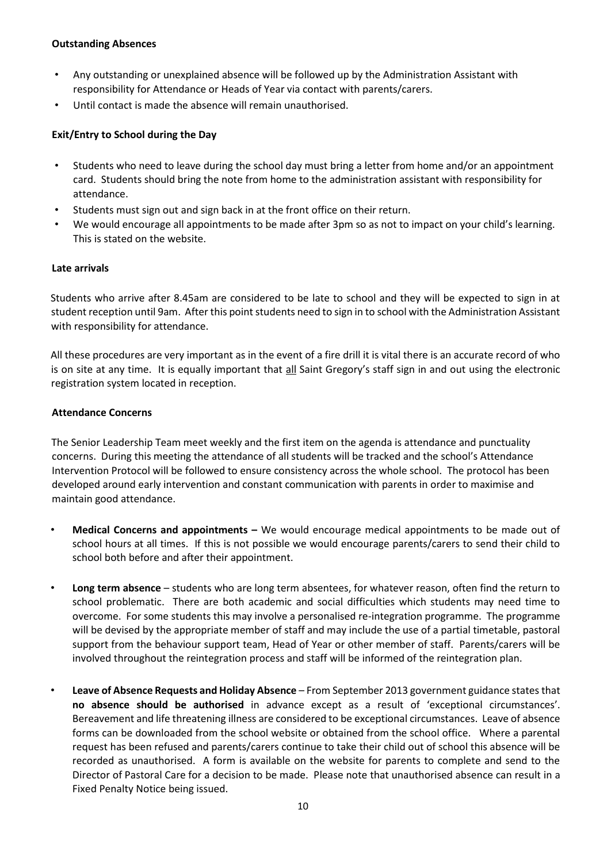#### **Outstanding Absences**

- Any outstanding or unexplained absence will be followed up by the Administration Assistant with responsibility for Attendance or Heads of Year via contact with parents/carers.
- Until contact is made the absence will remain unauthorised.

# **Exit/Entry to School during the Day**

- Students who need to leave during the school day must bring a letter from home and/or an appointment card. Students should bring the note from home to the administration assistant with responsibility for attendance.
- Students must sign out and sign back in at the front office on their return.
- We would encourage all appointments to be made after 3pm so as not to impact on your child's learning. This is stated on the website.

#### **Late arrivals**

Students who arrive after 8.45am are considered to be late to school and they will be expected to sign in at student reception until 9am. After this point students need to sign in to school with the Administration Assistant with responsibility for attendance.

All these procedures are very important as in the event of a fire drill it is vital there is an accurate record of who is on site at any time. It is equally important that all Saint Gregory's staff sign in and out using the electronic registration system located in reception.

#### **Attendance Concerns**

The Senior Leadership Team meet weekly and the first item on the agenda is attendance and punctuality concerns. During this meeting the attendance of all students will be tracked and the school's Attendance Intervention Protocol will be followed to ensure consistency across the whole school. The protocol has been developed around early intervention and constant communication with parents in order to maximise and maintain good attendance.

- **Medical Concerns and appointments –** We would encourage medical appointments to be made out of school hours at all times. If this is not possible we would encourage parents/carers to send their child to school both before and after their appointment.
- **Long term absence** students who are long term absentees, for whatever reason, often find the return to school problematic. There are both academic and social difficulties which students may need time to overcome. For some students this may involve a personalised re-integration programme. The programme will be devised by the appropriate member of staff and may include the use of a partial timetable, pastoral support from the behaviour support team, Head of Year or other member of staff. Parents/carers will be involved throughout the reintegration process and staff will be informed of the reintegration plan.
- **Leave of Absence Requests and Holiday Absence** From September 2013 government guidance states that **no absence should be authorised** in advance except as a result of 'exceptional circumstances'. Bereavement and life threatening illness are considered to be exceptional circumstances. Leave of absence forms can be downloaded from the school website or obtained from the school office. Where a parental request has been refused and parents/carers continue to take their child out of school this absence will be recorded as unauthorised. A form is available on the website for parents to complete and send to the Director of Pastoral Care for a decision to be made. Please note that unauthorised absence can result in a Fixed Penalty Notice being issued.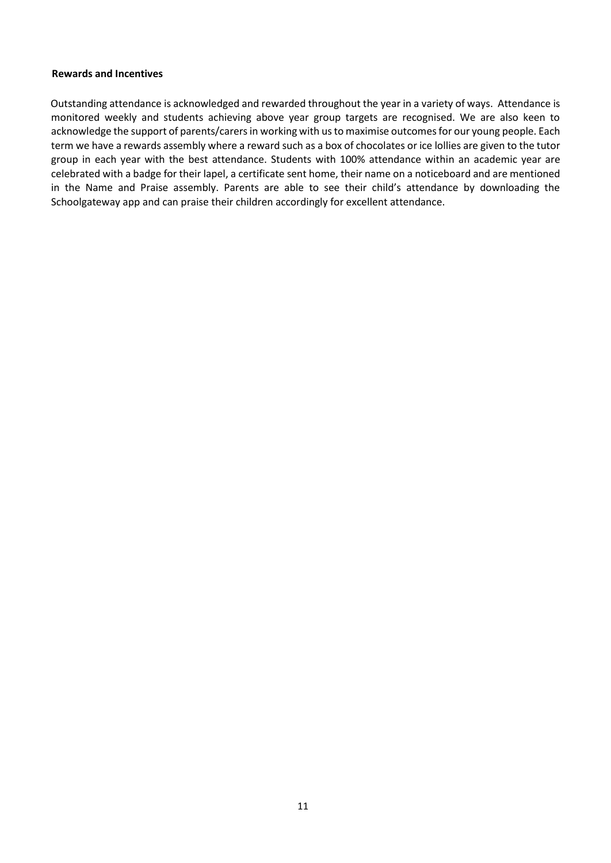#### **Rewards and Incentives**

Outstanding attendance is acknowledged and rewarded throughout the year in a variety of ways. Attendance is monitored weekly and students achieving above year group targets are recognised. We are also keen to acknowledge the support of parents/carers in working with us to maximise outcomes for our young people. Each term we have a rewards assembly where a reward such as a box of chocolates or ice lollies are given to the tutor group in each year with the best attendance. Students with 100% attendance within an academic year are celebrated with a badge for their lapel, a certificate sent home, their name on a noticeboard and are mentioned in the Name and Praise assembly. Parents are able to see their child's attendance by downloading the Schoolgateway app and can praise their children accordingly for excellent attendance.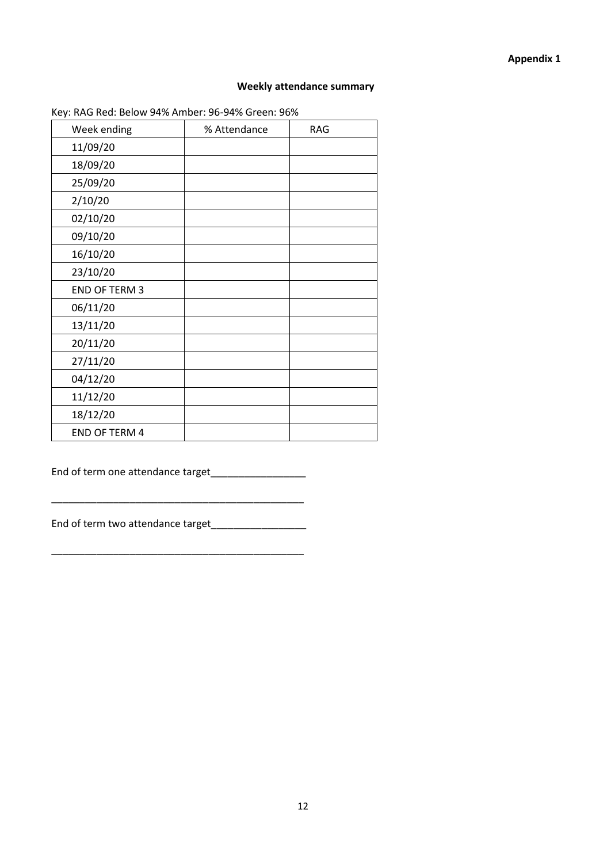# **Weekly attendance summary**

| Week ending          | % Attendance | <b>RAG</b> |
|----------------------|--------------|------------|
| 11/09/20             |              |            |
| 18/09/20             |              |            |
| 25/09/20             |              |            |
| 2/10/20              |              |            |
| 02/10/20             |              |            |
| 09/10/20             |              |            |
| 16/10/20             |              |            |
| 23/10/20             |              |            |
| <b>END OF TERM 3</b> |              |            |
| 06/11/20             |              |            |
| 13/11/20             |              |            |
| 20/11/20             |              |            |
| 27/11/20             |              |            |
| 04/12/20             |              |            |
| 11/12/20             |              |            |
| 18/12/20             |              |            |
| <b>END OF TERM 4</b> |              |            |

\_\_\_\_\_\_\_\_\_\_\_\_\_\_\_\_\_\_\_\_\_\_\_\_\_\_\_\_\_\_\_\_\_\_\_\_\_\_\_\_\_\_\_\_\_

Key: RAG Red: Below 94% Amber: 96-94% Green: 96%

End of term one attendance target\_\_\_\_\_\_\_\_\_\_\_\_\_\_\_\_\_

End of term two attendance target\_\_\_\_\_\_\_\_\_\_\_\_\_\_\_\_\_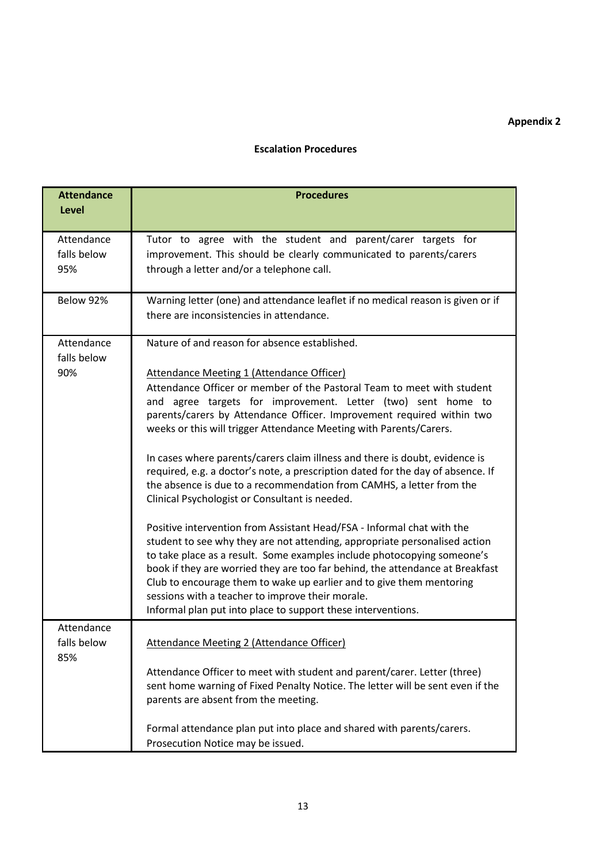# **Appendix 2**

#### **Escalation Procedures**

| <b>Attendance</b>                | <b>Procedures</b>                                                                                                                                                                                                                                                                                                                                                                                                                                                                                                                                                                                                                                                                                                                                                                                                                                                                                                                                                                                                                                                                                                                                                                                      |
|----------------------------------|--------------------------------------------------------------------------------------------------------------------------------------------------------------------------------------------------------------------------------------------------------------------------------------------------------------------------------------------------------------------------------------------------------------------------------------------------------------------------------------------------------------------------------------------------------------------------------------------------------------------------------------------------------------------------------------------------------------------------------------------------------------------------------------------------------------------------------------------------------------------------------------------------------------------------------------------------------------------------------------------------------------------------------------------------------------------------------------------------------------------------------------------------------------------------------------------------------|
| <b>Level</b>                     |                                                                                                                                                                                                                                                                                                                                                                                                                                                                                                                                                                                                                                                                                                                                                                                                                                                                                                                                                                                                                                                                                                                                                                                                        |
| Attendance<br>falls below<br>95% | Tutor to agree with the student and parent/carer targets for<br>improvement. This should be clearly communicated to parents/carers<br>through a letter and/or a telephone call.                                                                                                                                                                                                                                                                                                                                                                                                                                                                                                                                                                                                                                                                                                                                                                                                                                                                                                                                                                                                                        |
| Below 92%                        | Warning letter (one) and attendance leaflet if no medical reason is given or if<br>there are inconsistencies in attendance.                                                                                                                                                                                                                                                                                                                                                                                                                                                                                                                                                                                                                                                                                                                                                                                                                                                                                                                                                                                                                                                                            |
| Attendance<br>falls below<br>90% | Nature of and reason for absence established.<br><b>Attendance Meeting 1 (Attendance Officer)</b><br>Attendance Officer or member of the Pastoral Team to meet with student<br>and agree targets for improvement. Letter (two) sent home to<br>parents/carers by Attendance Officer. Improvement required within two<br>weeks or this will trigger Attendance Meeting with Parents/Carers.<br>In cases where parents/carers claim illness and there is doubt, evidence is<br>required, e.g. a doctor's note, a prescription dated for the day of absence. If<br>the absence is due to a recommendation from CAMHS, a letter from the<br>Clinical Psychologist or Consultant is needed.<br>Positive intervention from Assistant Head/FSA - Informal chat with the<br>student to see why they are not attending, appropriate personalised action<br>to take place as a result. Some examples include photocopying someone's<br>book if they are worried they are too far behind, the attendance at Breakfast<br>Club to encourage them to wake up earlier and to give them mentoring<br>sessions with a teacher to improve their morale.<br>Informal plan put into place to support these interventions. |
| Attendance<br>falls below<br>85% | <b>Attendance Meeting 2 (Attendance Officer)</b><br>Attendance Officer to meet with student and parent/carer. Letter (three)<br>sent home warning of Fixed Penalty Notice. The letter will be sent even if the<br>parents are absent from the meeting.<br>Formal attendance plan put into place and shared with parents/carers.                                                                                                                                                                                                                                                                                                                                                                                                                                                                                                                                                                                                                                                                                                                                                                                                                                                                        |
|                                  | Prosecution Notice may be issued.                                                                                                                                                                                                                                                                                                                                                                                                                                                                                                                                                                                                                                                                                                                                                                                                                                                                                                                                                                                                                                                                                                                                                                      |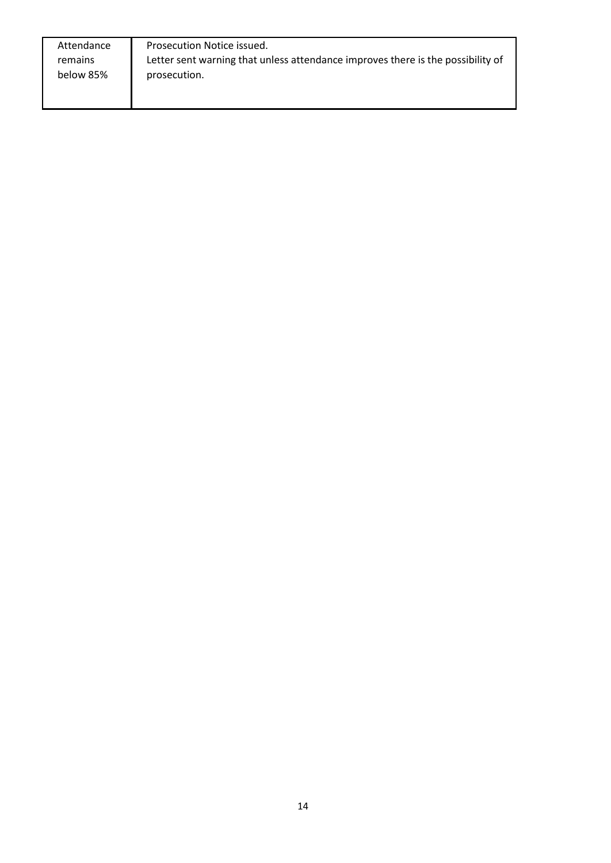| Attendance | Prosecution Notice issued.                                                      |
|------------|---------------------------------------------------------------------------------|
| remains    | Letter sent warning that unless attendance improves there is the possibility of |
| below 85%  | prosecution.                                                                    |
|            |                                                                                 |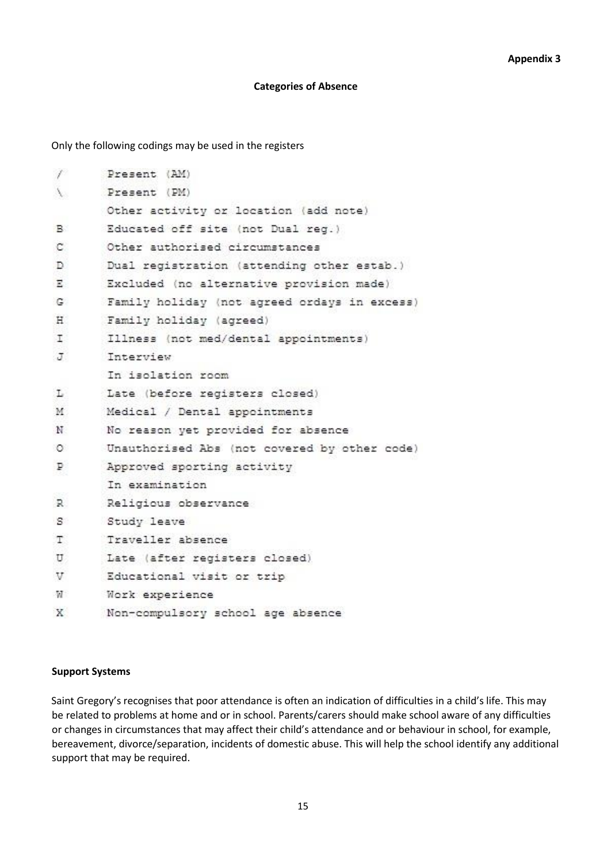#### **Categories of Absence**

Only the following codings may be used in the registers

| Γ           | Present (AM)                                 |
|-------------|----------------------------------------------|
| V.          | Present (PM)                                 |
|             | Other activity or location (add note)        |
| B           | Educated off site (not Dual reg.)            |
| $\mathbf C$ | Other authorised circumstances               |
| D           | Dual registration (attending other estab.)   |
| Ξ           | Excluded (no alternative provision made)     |
| G.          | Family holiday (not agreed ordays in excess) |
| H           | Family holiday (agreed)                      |
| T           | Illness (not med/dental appointments)        |
| J.          | Interview                                    |
|             | In isolation room                            |
| L           | Late (before registers closed)               |
| M           | Medical / Dental appointments                |
| N           | No reason yet provided for absence           |
| $\circ$     | Unauthorised Abs (not covered by other code) |
| Р           | Approved sporting activity                   |
|             | In examination                               |
| R.          | Religious observance                         |
| S.          | Study leave                                  |
| T           | Traveller absence                            |
| U           | Late (after registers closed)                |
| v           | Educational visit or trip                    |
| W.          | Work experience                              |
| X           | Non-compulsory school age absence            |

### **Support Systems**

Saint Gregory's recognises that poor attendance is often an indication of difficulties in a child's life. This may be related to problems at home and or in school. Parents/carers should make school aware of any difficulties or changes in circumstances that may affect their child's attendance and or behaviour in school, for example, bereavement, divorce/separation, incidents of domestic abuse. This will help the school identify any additional support that may be required.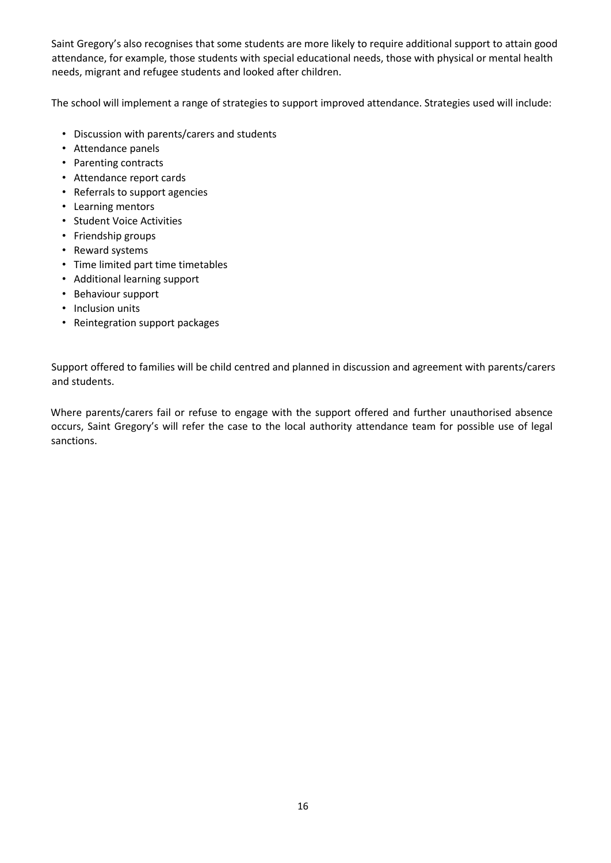Saint Gregory's also recognises that some students are more likely to require additional support to attain good attendance, for example, those students with special educational needs, those with physical or mental health needs, migrant and refugee students and looked after children.

The school will implement a range of strategies to support improved attendance. Strategies used will include:

- Discussion with parents/carers and students
- Attendance panels
- Parenting contracts
- Attendance report cards
- Referrals to support agencies
- Learning mentors
- Student Voice Activities
- Friendship groups
- Reward systems
- Time limited part time timetables
- Additional learning support
- Behaviour support
- Inclusion units
- Reintegration support packages

Support offered to families will be child centred and planned in discussion and agreement with parents/carers and students.

Where parents/carers fail or refuse to engage with the support offered and further unauthorised absence occurs, Saint Gregory's will refer the case to the local authority attendance team for possible use of legal sanctions.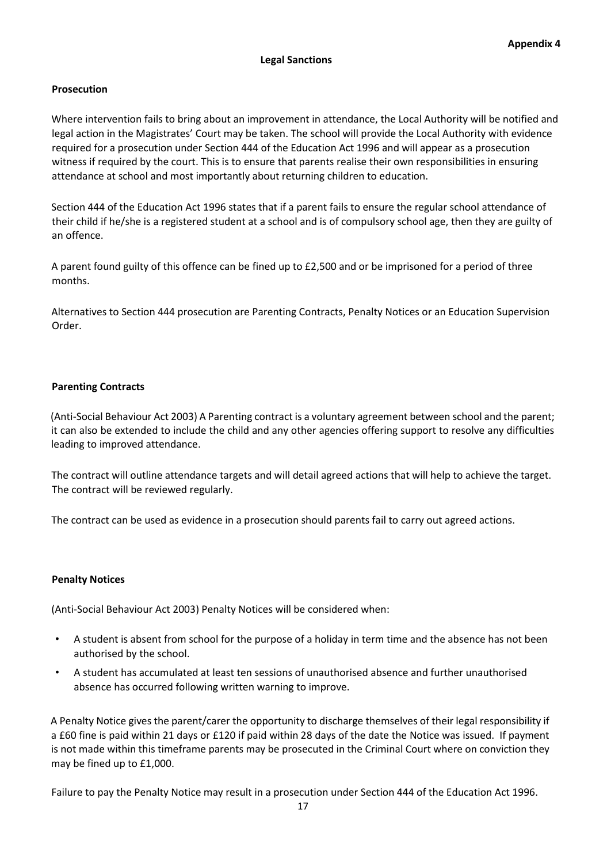#### **Prosecution**

Where intervention fails to bring about an improvement in attendance, the Local Authority will be notified and legal action in the Magistrates' Court may be taken. The school will provide the Local Authority with evidence required for a prosecution under Section 444 of the Education Act 1996 and will appear as a prosecution witness if required by the court. This is to ensure that parents realise their own responsibilities in ensuring attendance at school and most importantly about returning children to education.

Section 444 of the Education Act 1996 states that if a parent fails to ensure the regular school attendance of their child if he/she is a registered student at a school and is of compulsory school age, then they are guilty of an offence.

A parent found guilty of this offence can be fined up to £2,500 and or be imprisoned for a period of three months.

Alternatives to Section 444 prosecution are Parenting Contracts, Penalty Notices or an Education Supervision Order.

#### **Parenting Contracts**

(Anti-Social Behaviour Act 2003) A Parenting contract is a voluntary agreement between school and the parent; it can also be extended to include the child and any other agencies offering support to resolve any difficulties leading to improved attendance.

The contract will outline attendance targets and will detail agreed actions that will help to achieve the target. The contract will be reviewed regularly.

The contract can be used as evidence in a prosecution should parents fail to carry out agreed actions.

#### **Penalty Notices**

(Anti-Social Behaviour Act 2003) Penalty Notices will be considered when:

- A student is absent from school for the purpose of a holiday in term time and the absence has not been authorised by the school.
- A student has accumulated at least ten sessions of unauthorised absence and further unauthorised absence has occurred following written warning to improve.

A Penalty Notice gives the parent/carer the opportunity to discharge themselves of their legal responsibility if a £60 fine is paid within 21 days or £120 if paid within 28 days of the date the Notice was issued. If payment is not made within this timeframe parents may be prosecuted in the Criminal Court where on conviction they may be fined up to £1,000.

Failure to pay the Penalty Notice may result in a prosecution under Section 444 of the Education Act 1996.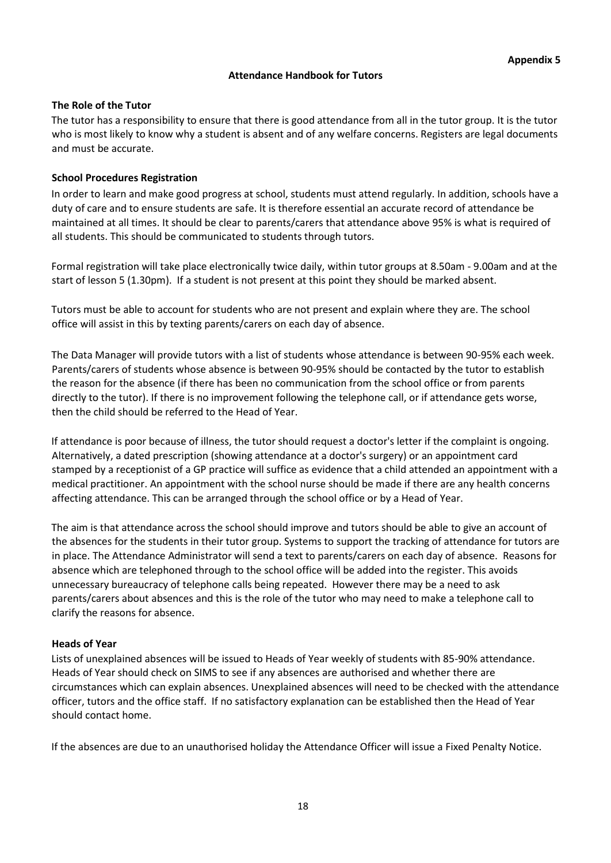# **Attendance Handbook for Tutors**

#### **The Role of the Tutor**

The tutor has a responsibility to ensure that there is good attendance from all in the tutor group. It is the tutor who is most likely to know why a student is absent and of any welfare concerns. Registers are legal documents and must be accurate.

### **School Procedures Registration**

In order to learn and make good progress at school, students must attend regularly. In addition, schools have a duty of care and to ensure students are safe. It is therefore essential an accurate record of attendance be maintained at all times. It should be clear to parents/carers that attendance above 95% is what is required of all students. This should be communicated to students through tutors.

Formal registration will take place electronically twice daily, within tutor groups at 8.50am ‐ 9.00am and at the start of lesson 5 (1.30pm). If a student is not present at this point they should be marked absent.

Tutors must be able to account for students who are not present and explain where they are. The school office will assist in this by texting parents/carers on each day of absence.

The Data Manager will provide tutors with a list of students whose attendance is between 90‐95% each week. Parents/carers of students whose absence is between 90‐95% should be contacted by the tutor to establish the reason for the absence (if there has been no communication from the school office or from parents directly to the tutor). If there is no improvement following the telephone call, or if attendance gets worse, then the child should be referred to the Head of Year.

If attendance is poor because of illness, the tutor should request a doctor's letter if the complaint is ongoing. Alternatively, a dated prescription (showing attendance at a doctor's surgery) or an appointment card stamped by a receptionist of a GP practice will suffice as evidence that a child attended an appointment with a medical practitioner. An appointment with the school nurse should be made if there are any health concerns affecting attendance. This can be arranged through the school office or by a Head of Year.

The aim is that attendance across the school should improve and tutors should be able to give an account of the absences for the students in their tutor group. Systems to support the tracking of attendance for tutors are in place. The Attendance Administrator will send a text to parents/carers on each day of absence. Reasons for absence which are telephoned through to the school office will be added into the register. This avoids unnecessary bureaucracy of telephone calls being repeated. However there may be a need to ask parents/carers about absences and this is the role of the tutor who may need to make a telephone call to clarify the reasons for absence.

#### **Heads of Year**

Lists of unexplained absences will be issued to Heads of Year weekly of students with 85‐90% attendance. Heads of Year should check on SIMS to see if any absences are authorised and whether there are circumstances which can explain absences. Unexplained absences will need to be checked with the attendance officer, tutors and the office staff. If no satisfactory explanation can be established then the Head of Year should contact home.

If the absences are due to an unauthorised holiday the Attendance Officer will issue a Fixed Penalty Notice.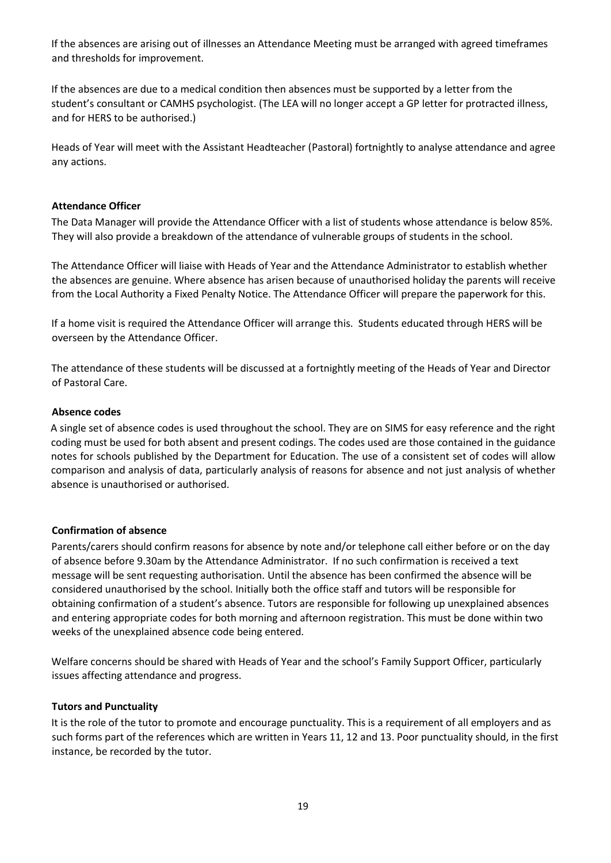If the absences are arising out of illnesses an Attendance Meeting must be arranged with agreed timeframes and thresholds for improvement.

If the absences are due to a medical condition then absences must be supported by a letter from the student's consultant or CAMHS psychologist. (The LEA will no longer accept a GP letter for protracted illness, and for HERS to be authorised.)

Heads of Year will meet with the Assistant Headteacher (Pastoral) fortnightly to analyse attendance and agree any actions.

### **Attendance Officer**

The Data Manager will provide the Attendance Officer with a list of students whose attendance is below 85%. They will also provide a breakdown of the attendance of vulnerable groups of students in the school.

The Attendance Officer will liaise with Heads of Year and the Attendance Administrator to establish whether the absences are genuine. Where absence has arisen because of unauthorised holiday the parents will receive from the Local Authority a Fixed Penalty Notice. The Attendance Officer will prepare the paperwork for this.

If a home visit is required the Attendance Officer will arrange this. Students educated through HERS will be overseen by the Attendance Officer.

The attendance of these students will be discussed at a fortnightly meeting of the Heads of Year and Director of Pastoral Care.

# **Absence codes**

A single set of absence codes is used throughout the school. They are on SIMS for easy reference and the right coding must be used for both absent and present codings. The codes used are those contained in the guidance notes for schools published by the Department for Education. The use of a consistent set of codes will allow comparison and analysis of data, particularly analysis of reasons for absence and not just analysis of whether absence is unauthorised or authorised.

#### **Confirmation of absence**

Parents/carers should confirm reasons for absence by note and/or telephone call either before or on the day of absence before 9.30am by the Attendance Administrator. If no such confirmation is received a text message will be sent requesting authorisation. Until the absence has been confirmed the absence will be considered unauthorised by the school. Initially both the office staff and tutors will be responsible for obtaining confirmation of a student's absence. Tutors are responsible for following up unexplained absences and entering appropriate codes for both morning and afternoon registration. This must be done within two weeks of the unexplained absence code being entered.

Welfare concerns should be shared with Heads of Year and the school's Family Support Officer, particularly issues affecting attendance and progress.

#### **Tutors and Punctuality**

It is the role of the tutor to promote and encourage punctuality. This is a requirement of all employers and as such forms part of the references which are written in Years 11, 12 and 13. Poor punctuality should, in the first instance, be recorded by the tutor.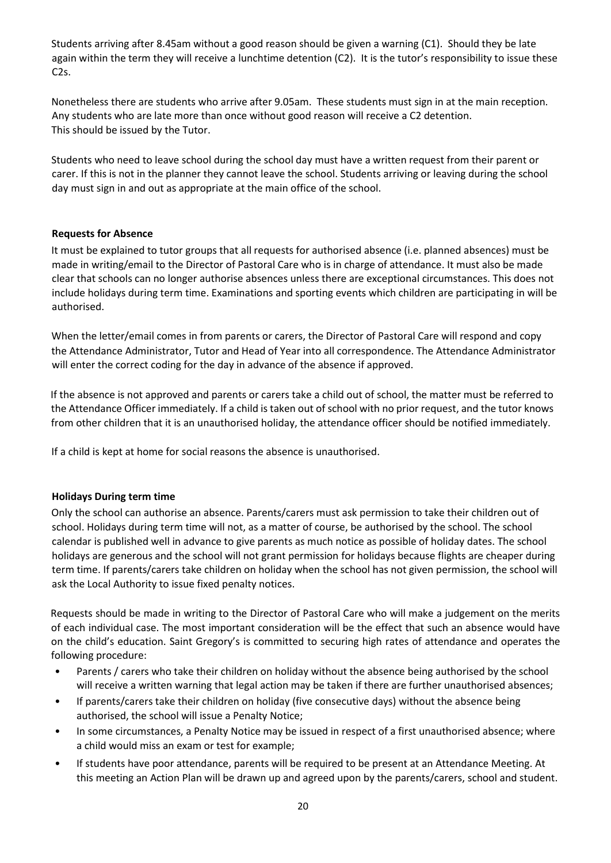Students arriving after 8.45am without a good reason should be given a warning (C1). Should they be late again within the term they will receive a lunchtime detention (C2). It is the tutor's responsibility to issue these C2s.

Nonetheless there are students who arrive after 9.05am. These students must sign in at the main reception. Any students who are late more than once without good reason will receive a C2 detention. This should be issued by the Tutor.

Students who need to leave school during the school day must have a written request from their parent or carer. If this is not in the planner they cannot leave the school. Students arriving or leaving during the school day must sign in and out as appropriate at the main office of the school.

# **Requests for Absence**

It must be explained to tutor groups that all requests for authorised absence (i.e. planned absences) must be made in writing/email to the Director of Pastoral Care who is in charge of attendance. It must also be made clear that schools can no longer authorise absences unless there are exceptional circumstances. This does not include holidays during term time. Examinations and sporting events which children are participating in will be authorised.

When the letter/email comes in from parents or carers, the Director of Pastoral Care will respond and copy the Attendance Administrator, Tutor and Head of Year into all correspondence. The Attendance Administrator will enter the correct coding for the day in advance of the absence if approved.

If the absence is not approved and parents or carers take a child out of school, the matter must be referred to the Attendance Officer immediately. If a child is taken out of school with no prior request, and the tutor knows from other children that it is an unauthorised holiday, the attendance officer should be notified immediately.

If a child is kept at home for social reasons the absence is unauthorised.

#### **Holidays During term time**

Only the school can authorise an absence. Parents/carers must ask permission to take their children out of school. Holidays during term time will not, as a matter of course, be authorised by the school. The school calendar is published well in advance to give parents as much notice as possible of holiday dates. The school holidays are generous and the school will not grant permission for holidays because flights are cheaper during term time. If parents/carers take children on holiday when the school has not given permission, the school will ask the Local Authority to issue fixed penalty notices.

Requests should be made in writing to the Director of Pastoral Care who will make a judgement on the merits of each individual case. The most important consideration will be the effect that such an absence would have on the child's education. Saint Gregory's is committed to securing high rates of attendance and operates the following procedure:

- Parents / carers who take their children on holiday without the absence being authorised by the school will receive a written warning that legal action may be taken if there are further unauthorised absences;
- If parents/carers take their children on holiday (five consecutive days) without the absence being authorised, the school will issue a Penalty Notice;
- In some circumstances, a Penalty Notice may be issued in respect of a first unauthorised absence; where a child would miss an exam or test for example;
- If students have poor attendance, parents will be required to be present at an Attendance Meeting. At this meeting an Action Plan will be drawn up and agreed upon by the parents/carers, school and student.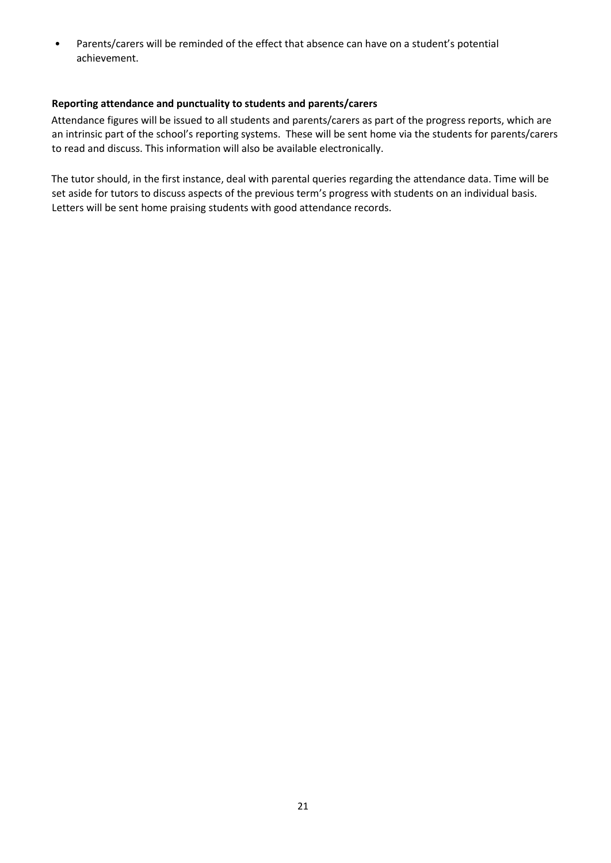• Parents/carers will be reminded of the effect that absence can have on a student's potential achievement.

# **Reporting attendance and punctuality to students and parents/carers**

Attendance figures will be issued to all students and parents/carers as part of the progress reports, which are an intrinsic part of the school's reporting systems. These will be sent home via the students for parents/carers to read and discuss. This information will also be available electronically.

The tutor should, in the first instance, deal with parental queries regarding the attendance data. Time will be set aside for tutors to discuss aspects of the previous term's progress with students on an individual basis. Letters will be sent home praising students with good attendance records.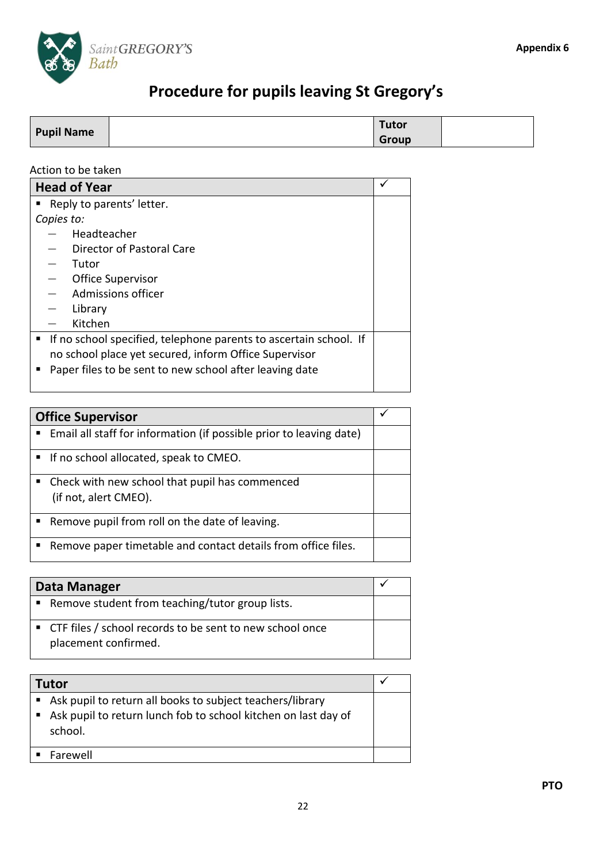

# **Procedure for pupils leaving St Gregory's**

| <b>Pupil Name</b> | <b>Tutor</b> |  |
|-------------------|--------------|--|
|                   | Group        |  |

# Action to be taken

| <b>Head of Year</b>                                                 |  |
|---------------------------------------------------------------------|--|
| Reply to parents' letter.<br>п.                                     |  |
| Copies to:                                                          |  |
| Headteacher                                                         |  |
| Director of Pastoral Care                                           |  |
| Tutor                                                               |  |
| <b>Office Supervisor</b>                                            |  |
| Admissions officer                                                  |  |
| Library                                                             |  |
| Kitchen                                                             |  |
| ■ If no school specified, telephone parents to ascertain school. If |  |
| no school place yet secured, inform Office Supervisor               |  |
| Paper files to be sent to new school after leaving date             |  |
|                                                                     |  |

| <b>Office Supervisor</b>                                                |  |
|-------------------------------------------------------------------------|--|
| ■ Email all staff for information (if possible prior to leaving date)   |  |
| " If no school allocated, speak to CMEO.                                |  |
| Check with new school that pupil has commenced<br>(if not, alert CMEO). |  |
| Remove pupil from roll on the date of leaving.                          |  |
| Remove paper timetable and contact details from office files.           |  |

| Data Manager                                                                       |  |
|------------------------------------------------------------------------------------|--|
| ■ Remove student from teaching/tutor group lists.                                  |  |
| ■ CTF files / school records to be sent to new school once<br>placement confirmed. |  |

| <b>Tutor</b>                                                                                                                           |  |
|----------------------------------------------------------------------------------------------------------------------------------------|--|
| Ask pupil to return all books to subject teachers/library<br>Ask pupil to return lunch fob to school kitchen on last day of<br>school. |  |
| $\blacksquare$ Farewell                                                                                                                |  |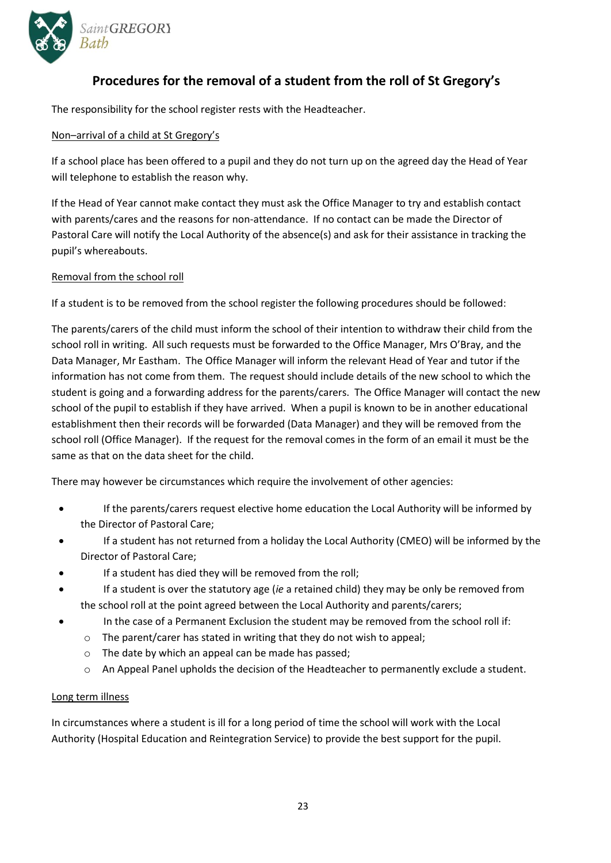

# **Procedures for the removal of a student from the roll of St Gregory's**

The responsibility for the school register rests with the Headteacher.

# Non–arrival of a child at St Gregory's

If a school place has been offered to a pupil and they do not turn up on the agreed day the Head of Year will telephone to establish the reason why.

If the Head of Year cannot make contact they must ask the Office Manager to try and establish contact with parents/cares and the reasons for non-attendance. If no contact can be made the Director of Pastoral Care will notify the Local Authority of the absence(s) and ask for their assistance in tracking the pupil's whereabouts.

# Removal from the school roll

If a student is to be removed from the school register the following procedures should be followed:

The parents/carers of the child must inform the school of their intention to withdraw their child from the school roll in writing. All such requests must be forwarded to the Office Manager, Mrs O'Bray, and the Data Manager, Mr Eastham. The Office Manager will inform the relevant Head of Year and tutor if the information has not come from them. The request should include details of the new school to which the student is going and a forwarding address for the parents/carers. The Office Manager will contact the new school of the pupil to establish if they have arrived. When a pupil is known to be in another educational establishment then their records will be forwarded (Data Manager) and they will be removed from the school roll (Office Manager). If the request for the removal comes in the form of an email it must be the same as that on the data sheet for the child.

There may however be circumstances which require the involvement of other agencies:

- If the parents/carers request elective home education the Local Authority will be informed by the Director of Pastoral Care;
- If a student has not returned from a holiday the Local Authority (CMEO) will be informed by the Director of Pastoral Care;
- If a student has died they will be removed from the roll;
- If a student is over the statutory age (*ie* a retained child) they may be only be removed from the school roll at the point agreed between the Local Authority and parents/carers;
- In the case of a Permanent Exclusion the student may be removed from the school roll if:
	- o The parent/carer has stated in writing that they do not wish to appeal;
	- o The date by which an appeal can be made has passed;
	- o An Appeal Panel upholds the decision of the Headteacher to permanently exclude a student.

# Long term illness

In circumstances where a student is ill for a long period of time the school will work with the Local Authority (Hospital Education and Reintegration Service) to provide the best support for the pupil.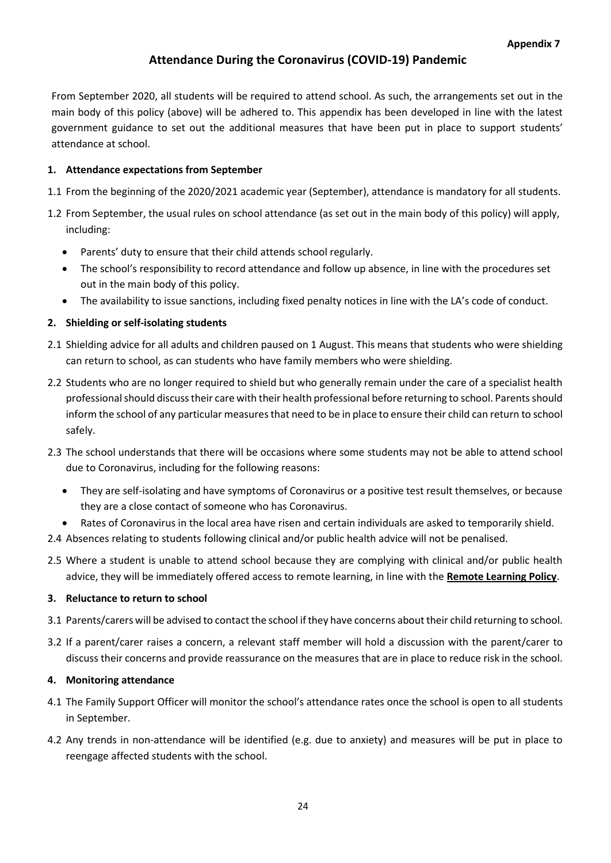# **Attendance During the Coronavirus (COVID-19) Pandemic**

From September 2020, all students will be required to attend school. As such, the arrangements set out in the main body of this policy (above) will be adhered to. This appendix has been developed in line with the latest government guidance to set out the additional measures that have been put in place to support students' attendance at school.

# **1. Attendance expectations from September**

- 1.1 From the beginning of the 2020/2021 academic year (September), attendance is mandatory for all students.
- 1.2 From September, the usual rules on school attendance (as set out in the main body of this policy) will apply, including:
	- Parents' duty to ensure that their child attends school regularly.
	- The school's responsibility to record attendance and follow up absence, in line with the procedures set out in the main body of this policy.
	- The availability to issue sanctions, including fixed penalty notices in line with the LA's code of conduct.

# **2. Shielding or self-isolating students**

- 2.1 Shielding advice for all adults and children paused on 1 August. This means that students who were shielding can return to school, as can students who have family members who were shielding.
- 2.2 Students who are no longer required to shield but who generally remain under the care of a specialist health professional should discuss their care with their health professional before returning to school. Parents should inform the school of any particular measures that need to be in place to ensure their child can return to school safely.
- 2.3 The school understands that there will be occasions where some students may not be able to attend school due to Coronavirus, including for the following reasons:
	- They are self-isolating and have symptoms of Coronavirus or a positive test result themselves, or because they are a close contact of someone who has Coronavirus.
	- Rates of Coronavirus in the local area have risen and certain individuals are asked to temporarily shield.
- 2.4 Absences relating to students following clinical and/or public health advice will not be penalised.
- 2.5 Where a student is unable to attend school because they are complying with clinical and/or public health advice, they will be immediately offered access to remote learning, in line with the **Remote Learning Policy**.

#### **3. Reluctance to return to school**

- 3.1 Parents/carers will be advised to contact the school if they have concerns about their child returning to school.
- 3.2 If a parent/carer raises a concern, a relevant staff member will hold a discussion with the parent/carer to discuss their concerns and provide reassurance on the measures that are in place to reduce risk in the school.

#### **4. Monitoring attendance**

- 4.1 The Family Support Officer will monitor the school's attendance rates once the school is open to all students in September.
- 4.2 Any trends in non-attendance will be identified (e.g. due to anxiety) and measures will be put in place to reengage affected students with the school.